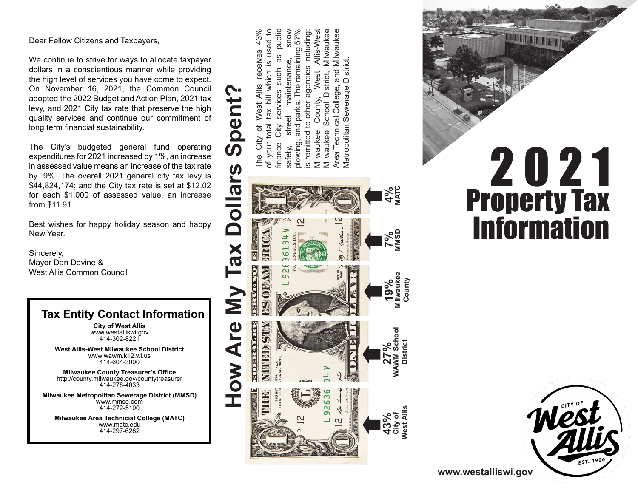Dear Fellow Citizens and Taxpayers,

We continue to strive for ways to allocate taxpayer dollars in a conscientious manner while providing the high level of services you have come to expect. On November 16, 2021, the Common Council adopted the 2022 Budget and Action Plan, 2021 tax levy, and 2021 City tax rate that preserve the high quality services and continue our commitment of long term financial sustainability.

The City's budgeted general fund operating expenditures for 2021 increased by 1%, an increase in assessed value means an increase of the tax rate by .9%. The overall 2021 general city tax levy is \$44,824,174; and the City tax rate is set at \$12.02 for each \$1,000 of assessed value, an increase from \$11.91.

Best wishes for happy holiday season and happy New Year.

Sincerely, Mayor Dan Devine & West Allis Common Council

### **Tax Entity Contact Information**

**City of West Allis** www.westalliswi.gov 414-302-8221

**West Allis-West Milwaukee School District** www.wawm.k12.wi.us 414-604-3000

**Milwaukee County Treasurer's Office** http://county.milwaukee.gov/countytreasurer 414-278-4033

**Milwaukee Metropolitan Sewerage District (MMSD)** www.mmsd.com 414-272-5100

**Milwaukee Area Technicial College (MATC)** www.matc.edu 414-297-6282

The City of West Allis receives 43% of your total tax bill which is used to finance City services such as public safety, street maintenance, snow plowing, and parks. The remaining 57% is remitted to other agencies including: Milwaukee County, West Allis-West Milwaukee School District, Milwaukee Area Technical College, and Milwaukee Area Technical College, and Milwaukee City of West Allis receives 43% of your total tax bill which is used to City services such as public snow Allis-West plowing, and parks. The remaining 57% s remitted to other agencies including Milwauke Metropolitan Sewerage District. maintenance, Metropolitan Sewerage District West School District, Spent' County, street Villwaukee Villwaukee inance safety, The







**www.westalliswi.gov**